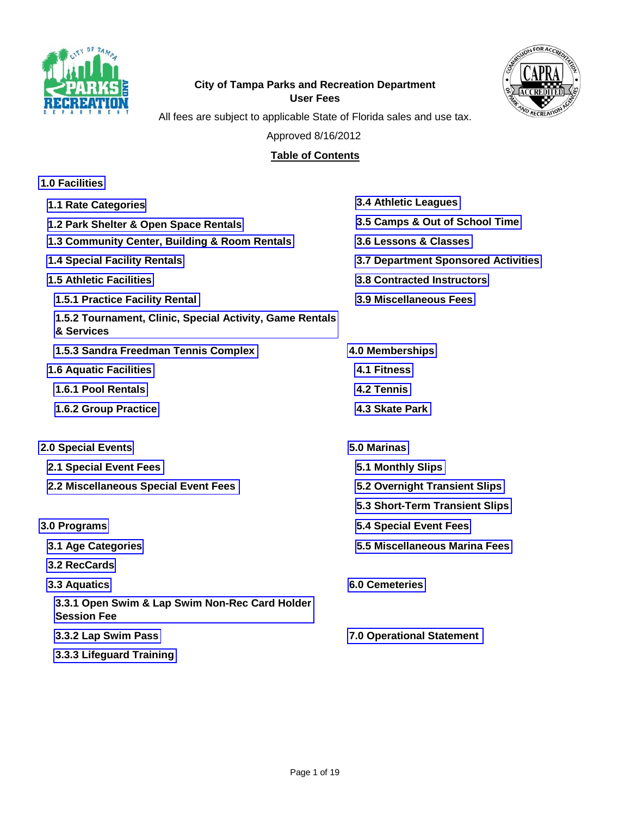



## **City of Tampa Parks and Recreation Department User Fees**

All fees are subject to applicable State of Florida sales and use tax.

Approved 8/16/2012

## **Table of Contents**

| <b>1.0 Facilities</b>                                                  |                                            |
|------------------------------------------------------------------------|--------------------------------------------|
| 1.1 Rate Categories                                                    | <b>3.4 Athletic Leagues</b>                |
| 1.2 Park Shelter & Open Space Rentals                                  | 3.5 Camps & Out of School Time             |
| 1.3 Community Center, Building & Room Rentals                          | 3.6 Lessons & Classes                      |
| <b>1.4 Special Facility Rentals</b>                                    | <b>3.7 Department Sponsored Activities</b> |
| <b>1.5 Athletic Facilities</b>                                         | <b>3.8 Contracted Instructors</b>          |
| 1.5.1 Practice Facility Rental                                         | 3.9 Miscellaneous Fees                     |
| 1.5.2 Tournament, Clinic, Special Activity, Game Rentals<br>& Services |                                            |
| 1.5.3 Sandra Freedman Tennis Complex                                   | 4.0 Memberships                            |
| <b>1.6 Aquatic Facilities</b>                                          | <b>4.1 Fitness</b>                         |
| 1.6.1 Pool Rentals                                                     | 4.2 Tennis                                 |
| 1.6.2 Group Practice                                                   | 4.3 Skate Park                             |
| <b>2.0 Special Events</b>                                              | 5.0 Marinas                                |
| 2.1 Special Event Fees                                                 | 5.1 Monthly Slips                          |
| 2.2 Miscellaneous Special Event Fees                                   | 5.2 Overnight Transient Slips              |
|                                                                        | 5.3 Short-Term Transient Slips             |
| 3.0 Programs                                                           | <b>5.4 Special Event Fees</b>              |
| 3.1 Age Categories                                                     | 5.5 Miscellaneous Marina Fees              |
| 3.2 RecCards                                                           |                                            |
| 3.3 Aquatics                                                           | <b>6.0 Cemeteries</b>                      |
| 3.3.1 Open Swim & Lap Swim Non-Rec Card Holder<br><b>Session Fee</b>   |                                            |
| 3.3.2 Lap Swim Pass                                                    | <b>7.0 Operational Statement</b>           |
| 3.3.3 Lifeguard Training                                               |                                            |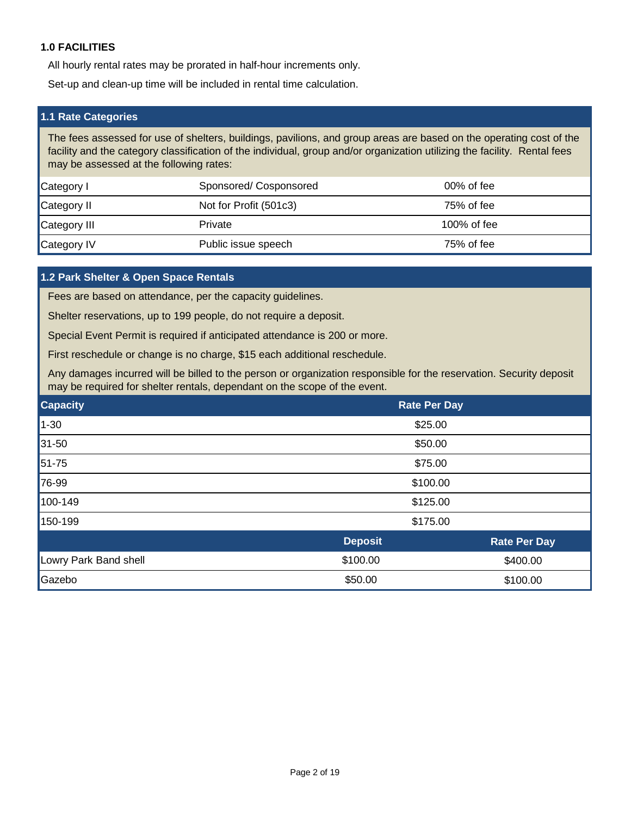#### <span id="page-1-0"></span>**1.0 FACILITIES**

All hourly rental rates may be prorated in half-hour increments only.

Set-up and clean-up time will be included in rental time calculation.

#### **1.1 Rate Categories**

The fees assessed for use of shelters, buildings, pavilions, and group areas are based on the operating cost of the facility and the category classification of the individual, group and/or organization utilizing the facility. Rental fees may be assessed at the following rates:

| Category I   | Sponsored/Cosponsored  | $00\%$ of fee |
|--------------|------------------------|---------------|
| Category II  | Not for Profit (501c3) | $75%$ of fee  |
| Category III | Private                | 100% of fee   |
| Category IV  | Public issue speech    | 75% of fee    |

#### **1.2 Park Shelter & Open Space Rentals**

Fees are based on attendance, per the capacity guidelines.

Shelter reservations, up to 199 people, do not require a deposit.

Special Event Permit is required if anticipated attendance is 200 or more.

First reschedule or change is no charge, \$15 each additional reschedule.

Any damages incurred will be billed to the person or organization responsible for the reservation. Security deposit may be required for shelter rentals, dependant on the scope of the event.

| <b>Capacity</b>       | <b>Rate Per Day</b>  |                     |  |
|-----------------------|----------------------|---------------------|--|
| $1 - 30$              | \$25.00              |                     |  |
| $31 - 50$             | \$50.00              |                     |  |
| 51-75                 | \$75.00              |                     |  |
| 76-99                 | \$100.00             |                     |  |
| 100-149               | \$125.00             |                     |  |
| 150-199               | \$175.00             |                     |  |
|                       | <b>Deposit</b>       | <b>Rate Per Day</b> |  |
| Lowry Park Band shell | \$100.00<br>\$400.00 |                     |  |
| Gazebo                | \$50.00<br>\$100.00  |                     |  |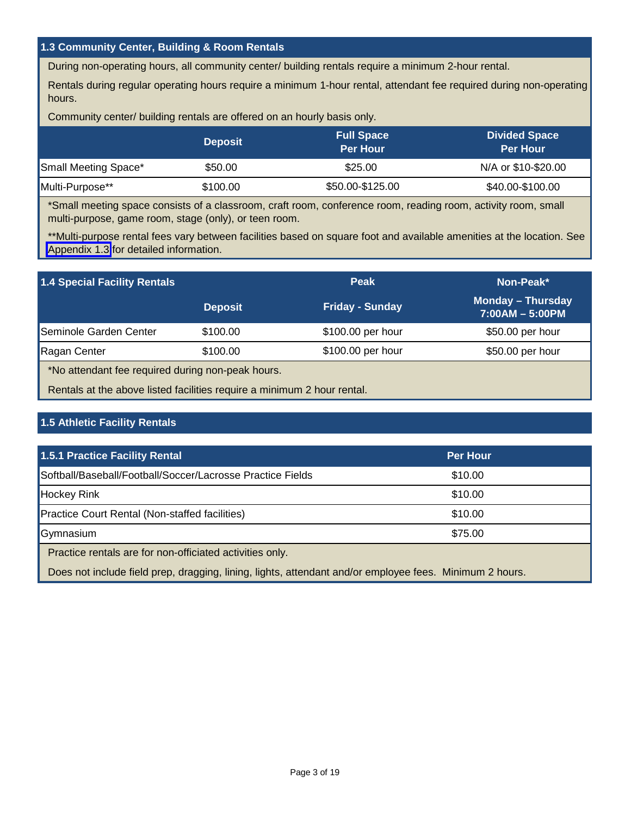#### <span id="page-2-0"></span>**1.3 Community Center, Building & Room Rentals**

During non-operating hours, all community center/ building rentals require a minimum 2-hour rental.

Rentals during regular operating hours require a minimum 1-hour rental, attendant fee required during non-operating hours.

Community center/ building rentals are offered on an hourly basis only.

|                      | <b>Deposit</b> | <b>Full Space</b><br><b>Per Hour</b> | <b>Divided Space</b><br><b>Per Hour</b> |
|----------------------|----------------|--------------------------------------|-----------------------------------------|
| Small Meeting Space* | \$50.00        | \$25.00                              | N/A or \$10-\$20.00                     |
| Multi-Purpose**      | \$100.00       | \$50.00-\$125.00                     | \$40.00-\$100.00                        |

\*Small meeting space consists of a classroom, craft room, conference room, reading room, activity room, small multi-purpose, game room, stage (only), or teen room.

\*\*Multi-purpose rental fees vary between facilities based on square foot and available amenities at the location. See [Appendix 1.3](#page-14-0) for detailed information.

| 1.4 Special Facility Rentals                                            |                | <b>Peak</b>            | Non-Peak*                                     |
|-------------------------------------------------------------------------|----------------|------------------------|-----------------------------------------------|
|                                                                         | <b>Deposit</b> | <b>Friday - Sunday</b> | <b>Monday - Thursday</b><br>$7:00AM - 5:00PM$ |
| Seminole Garden Center                                                  | \$100.00       | \$100.00 per hour      | \$50.00 per hour                              |
| Ragan Center                                                            | \$100.00       | \$100.00 per hour      | \$50.00 per hour                              |
| *No attendant fee required during non-peak hours.                       |                |                        |                                               |
| Rentals at the above listed facilities require a minimum 2 hour rental. |                |                        |                                               |

### **1.5 Athletic Facility Rentals**

| 1.5.1 Practice Facility Rental                                                                          | <b>Per Hour</b> |  |
|---------------------------------------------------------------------------------------------------------|-----------------|--|
| Softball/Baseball/Football/Soccer/Lacrosse Practice Fields                                              | \$10.00         |  |
| <b>Hockey Rink</b>                                                                                      | \$10.00         |  |
| <b>Practice Court Rental (Non-staffed facilities)</b>                                                   | \$10.00         |  |
| Gymnasium                                                                                               | \$75.00         |  |
| Practice rentals are for non-officiated activities only.                                                |                 |  |
| Does not include field prep, dragging, lining, lights, attendant and/or employee fees. Minimum 2 hours. |                 |  |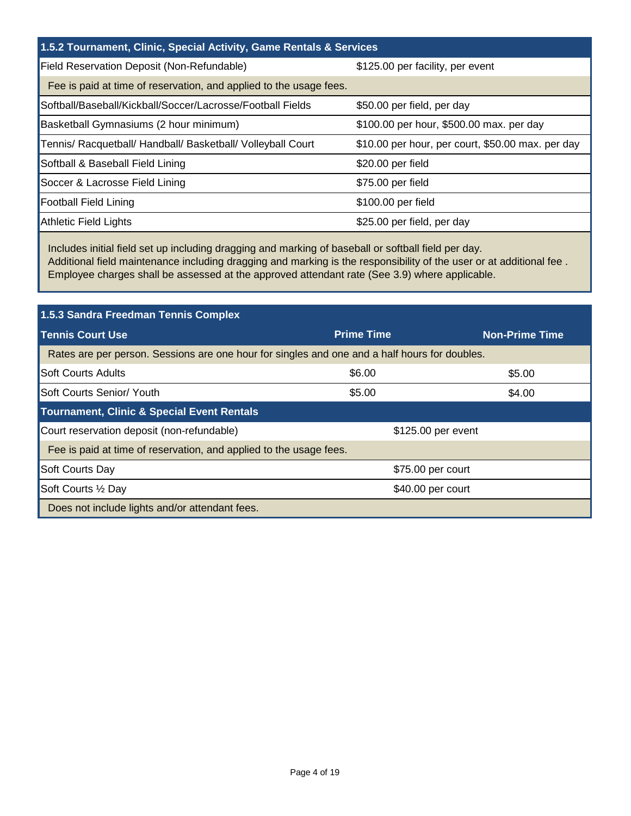# <span id="page-3-0"></span>**1.5.2 Tournament, Clinic, Special Activity, Game Rentals & Services**

| Field Reservation Deposit (Non-Refundable)                         | \$125.00 per facility, per event                  |
|--------------------------------------------------------------------|---------------------------------------------------|
| Fee is paid at time of reservation, and applied to the usage fees. |                                                   |
| Softball/Baseball/Kickball/Soccer/Lacrosse/Football Fields         | \$50.00 per field, per day                        |
| Basketball Gymnasiums (2 hour minimum)                             | \$100.00 per hour, \$500.00 max. per day          |
| Tennis/ Racquetball/ Handball/ Basketball/ Volleyball Court        | \$10.00 per hour, per court, \$50.00 max. per day |
| Softball & Baseball Field Lining                                   | \$20.00 per field                                 |
| Soccer & Lacrosse Field Lining                                     | \$75.00 per field                                 |
| <b>Football Field Lining</b>                                       | \$100.00 per field                                |
| Athletic Field Lights                                              | \$25.00 per field, per day                        |

Includes initial field set up including dragging and marking of baseball or softball field per day. Additional field maintenance including dragging and marking is the responsibility of the user or at additional fee . Employee charges shall be assessed at the approved attendant rate (See 3.9) where applicable.

| 1.5.3 Sandra Freedman Tennis Complex                                                          |                    |                       |
|-----------------------------------------------------------------------------------------------|--------------------|-----------------------|
| <b>Tennis Court Use</b>                                                                       | <b>Prime Time</b>  | <b>Non-Prime Time</b> |
| Rates are per person. Sessions are one hour for singles and one and a half hours for doubles. |                    |                       |
| <b>Soft Courts Adults</b>                                                                     | \$6.00             | \$5.00                |
| Soft Courts Senior/ Youth                                                                     | \$5.00             | \$4.00                |
| <b>Tournament, Clinic &amp; Special Event Rentals</b>                                         |                    |                       |
| Court reservation deposit (non-refundable)                                                    | \$125.00 per event |                       |
| Fee is paid at time of reservation, and applied to the usage fees.                            |                    |                       |
| Soft Courts Day                                                                               | \$75.00 per court  |                       |
| Soft Courts 1/2 Day                                                                           | \$40.00 per court  |                       |
| Does not include lights and/or attendant fees.                                                |                    |                       |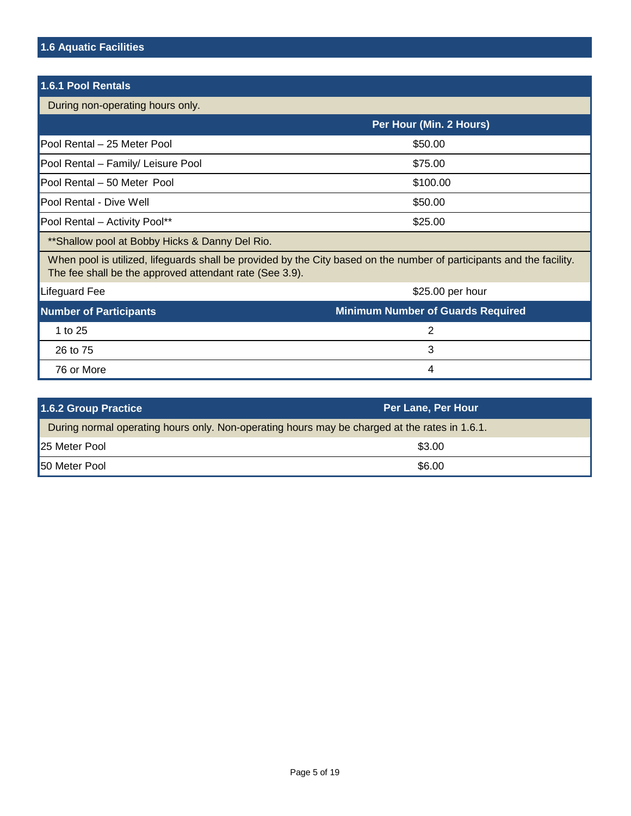<span id="page-4-0"></span>

| 1.6.1 Pool Rentals                                                                                                                                                               |                                          |
|----------------------------------------------------------------------------------------------------------------------------------------------------------------------------------|------------------------------------------|
| During non-operating hours only.                                                                                                                                                 |                                          |
|                                                                                                                                                                                  | Per Hour (Min. 2 Hours)                  |
| Pool Rental - 25 Meter Pool                                                                                                                                                      | \$50.00                                  |
| Pool Rental - Family/ Leisure Pool                                                                                                                                               | \$75.00                                  |
| Pool Rental - 50 Meter Pool                                                                                                                                                      | \$100.00                                 |
| Pool Rental - Dive Well                                                                                                                                                          | \$50.00                                  |
| Pool Rental - Activity Pool**                                                                                                                                                    | \$25.00                                  |
| ** Shallow pool at Bobby Hicks & Danny Del Rio.                                                                                                                                  |                                          |
| When pool is utilized, lifeguards shall be provided by the City based on the number of participants and the facility.<br>The fee shall be the approved attendant rate (See 3.9). |                                          |
| Lifeguard Fee                                                                                                                                                                    | \$25.00 per hour                         |
| <b>Number of Participants</b>                                                                                                                                                    | <b>Minimum Number of Guards Required</b> |
| 1 to 25                                                                                                                                                                          | $\overline{2}$                           |
| 26 to 75                                                                                                                                                                         | 3                                        |
| 76 or More                                                                                                                                                                       | 4                                        |

| 1.6.2 Group Practice                                                                          | <b>Per Lane, Per Hour</b> |
|-----------------------------------------------------------------------------------------------|---------------------------|
| During normal operating hours only. Non-operating hours may be charged at the rates in 1.6.1. |                           |
| 25 Meter Pool                                                                                 | \$3.00                    |
| <b>50 Meter Pool</b>                                                                          | \$6.00                    |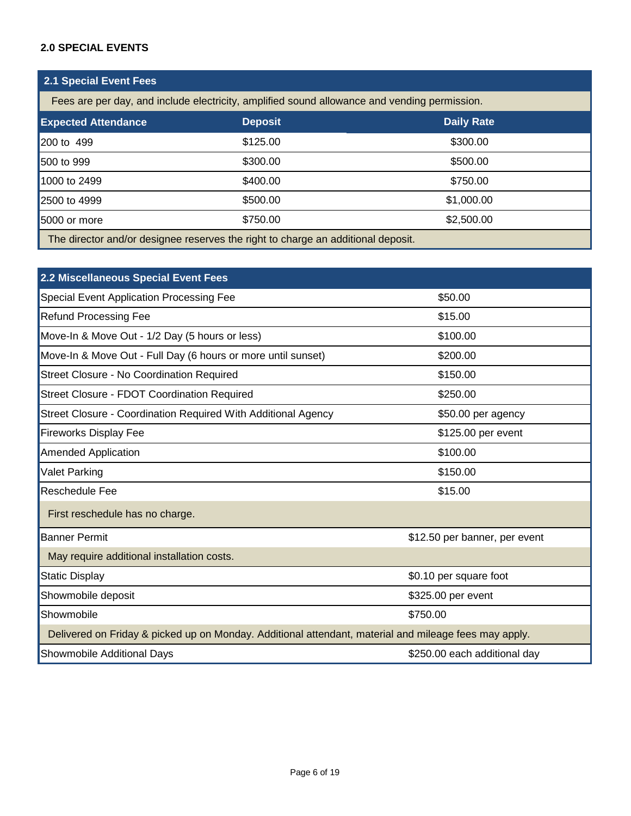#### <span id="page-5-0"></span>**2.0 SPECIAL EVENTS**

| <b>2.1 Special Event Fees</b>                                                                |                |                   |
|----------------------------------------------------------------------------------------------|----------------|-------------------|
| Fees are per day, and include electricity, amplified sound allowance and vending permission. |                |                   |
| <b>Expected Attendance</b>                                                                   | <b>Deposit</b> | <b>Daily Rate</b> |
| 200 to 499                                                                                   | \$125.00       | \$300.00          |
| 500 to 999                                                                                   | \$300.00       | \$500.00          |
| 1000 to 2499                                                                                 | \$400.00       | \$750.00          |
| 2500 to 4999                                                                                 | \$500.00       | \$1,000.00        |
| 5000 or more                                                                                 | \$750.00       | \$2,500.00        |
| The director and/or designee reserves the right to charge an additional deposit.             |                |                   |

| 2.2 Miscellaneous Special Event Fees                                                                  |                               |
|-------------------------------------------------------------------------------------------------------|-------------------------------|
| Special Event Application Processing Fee                                                              | \$50.00                       |
| <b>Refund Processing Fee</b>                                                                          | \$15.00                       |
| Move-In & Move Out - 1/2 Day (5 hours or less)                                                        | \$100.00                      |
| Move-In & Move Out - Full Day (6 hours or more until sunset)                                          | \$200.00                      |
| Street Closure - No Coordination Required                                                             | \$150.00                      |
| <b>Street Closure - FDOT Coordination Required</b>                                                    | \$250.00                      |
| Street Closure - Coordination Required With Additional Agency                                         | \$50.00 per agency            |
| <b>Fireworks Display Fee</b>                                                                          | \$125.00 per event            |
| <b>Amended Application</b>                                                                            | \$100.00                      |
| Valet Parking                                                                                         | \$150.00                      |
| Reschedule Fee                                                                                        | \$15.00                       |
| First reschedule has no charge.                                                                       |                               |
| <b>Banner Permit</b>                                                                                  | \$12.50 per banner, per event |
| May require additional installation costs.                                                            |                               |
| <b>Static Display</b>                                                                                 | \$0.10 per square foot        |
| Showmobile deposit                                                                                    | \$325.00 per event            |
| Showmobile                                                                                            | \$750.00                      |
| Delivered on Friday & picked up on Monday. Additional attendant, material and mileage fees may apply. |                               |
| Showmobile Additional Days                                                                            | \$250.00 each additional day  |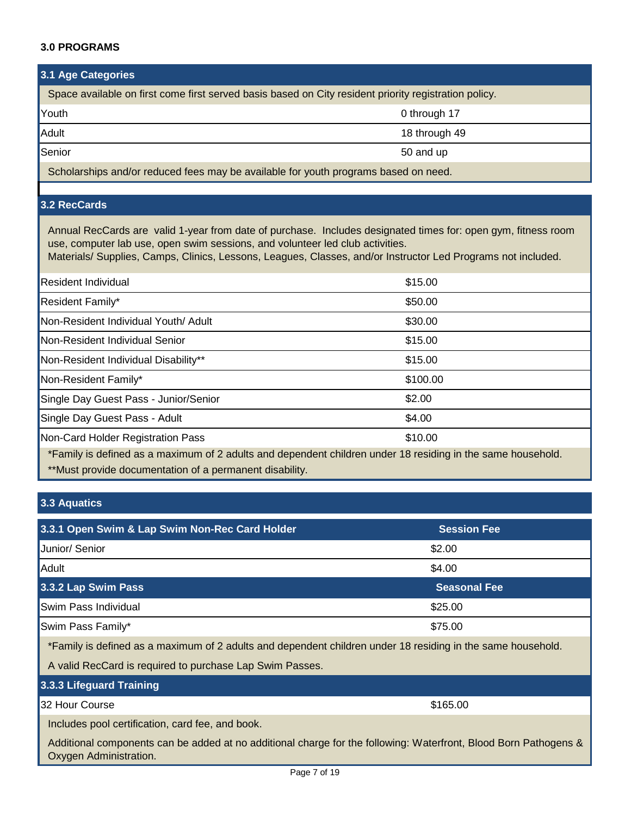#### <span id="page-6-0"></span>**3.0 PROGRAMS**

#### **3.1 Age Categories**

| Space available on first come first served basis based on City resident priority registration policy. |               |  |
|-------------------------------------------------------------------------------------------------------|---------------|--|
| Youth                                                                                                 | 0 through 17  |  |
| Adult                                                                                                 | 18 through 49 |  |
| Senior                                                                                                | 50 and up     |  |
| Scholarships and/or reduced fees may be available for youth programs based on peed                    |               |  |

Scholarships and/or reduced fees may be available for youth programs based on need.

## **3.2 RecCards**

Annual RecCards are valid 1-year from date of purchase. Includes designated times for: open gym, fitness room use, computer lab use, open swim sessions, and volunteer led club activities.

Materials/ Supplies, Camps, Clinics, Lessons, Leagues, Classes, and/or Instructor Led Programs not included.

| <b>Resident Individual</b>                                                                                     | \$15.00                                                                                                         |
|----------------------------------------------------------------------------------------------------------------|-----------------------------------------------------------------------------------------------------------------|
| Resident Family*                                                                                               | \$50.00                                                                                                         |
| Non-Resident Individual Youth/ Adult                                                                           | \$30.00                                                                                                         |
| Non-Resident Individual Senior                                                                                 | \$15.00                                                                                                         |
| Non-Resident Individual Disability**                                                                           | \$15.00                                                                                                         |
| Non-Resident Family*                                                                                           | \$100.00                                                                                                        |
| Single Day Guest Pass - Junior/Senior                                                                          | \$2.00                                                                                                          |
| Single Day Guest Pass - Adult                                                                                  | \$4.00                                                                                                          |
| Non-Card Holder Registration Pass                                                                              | \$10.00                                                                                                         |
| - 1000 - 1000 - 1000 - 1000 - 1000 - 1000 - 1000 - 1000 - 1000 - 1000 - 1000 - 1000 - 1000 - 1000 - 1000 - 100 | the contract of the contract of the contract of the contract of the contract of the contract of the contract of |

\*\*Must provide documentation of a permanent disability. \*Family is defined as a maximum of 2 adults and dependent children under 18 residing in the same household.

## **3.3 Aquatics**

| 3.3.1 Open Swim & Lap Swim Non-Rec Card Holder                                                                                             | <b>Session Fee</b>  |
|--------------------------------------------------------------------------------------------------------------------------------------------|---------------------|
| Junior/ Senior                                                                                                                             | \$2.00              |
| Adult                                                                                                                                      | \$4.00              |
| 3.3.2 Lap Swim Pass                                                                                                                        | <b>Seasonal Fee</b> |
| Swim Pass Individual                                                                                                                       | \$25.00             |
| Swim Pass Family*                                                                                                                          | \$75.00             |
| *Family is defined as a maximum of 2 adults and dependent children under 18 residing in the same household.                                |                     |
| A valid RecCard is required to purchase Lap Swim Passes.                                                                                   |                     |
| 3.3.3 Lifeguard Training                                                                                                                   |                     |
| 32 Hour Course                                                                                                                             | \$165.00            |
| Includes pool certification, card fee, and book.                                                                                           |                     |
| Additional components can be added at no additional charge for the following: Waterfront, Blood Born Pathogens &<br>Oxygen Administration. |                     |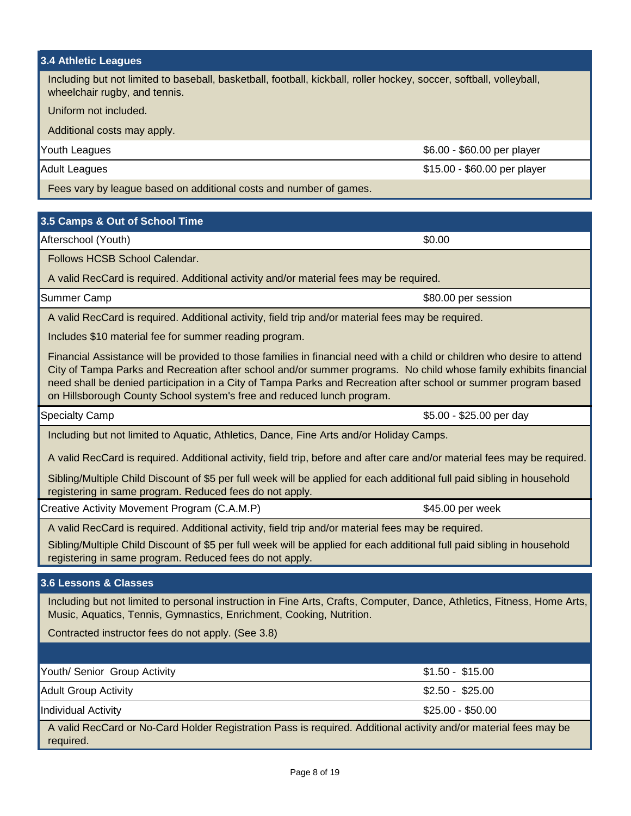<span id="page-7-0"></span>

| <b>3.4 Athletic Leagues</b>                                                                                                                                                                                                                                                                                                                                                                                                              |                              |  |  |
|------------------------------------------------------------------------------------------------------------------------------------------------------------------------------------------------------------------------------------------------------------------------------------------------------------------------------------------------------------------------------------------------------------------------------------------|------------------------------|--|--|
| Including but not limited to baseball, basketball, football, kickball, roller hockey, soccer, softball, volleyball,<br>wheelchair rugby, and tennis.                                                                                                                                                                                                                                                                                     |                              |  |  |
| Uniform not included.                                                                                                                                                                                                                                                                                                                                                                                                                    |                              |  |  |
| Additional costs may apply.                                                                                                                                                                                                                                                                                                                                                                                                              |                              |  |  |
| Youth Leagues                                                                                                                                                                                                                                                                                                                                                                                                                            | \$6.00 - \$60.00 per player  |  |  |
| <b>Adult Leagues</b>                                                                                                                                                                                                                                                                                                                                                                                                                     | \$15.00 - \$60.00 per player |  |  |
| Fees vary by league based on additional costs and number of games.                                                                                                                                                                                                                                                                                                                                                                       |                              |  |  |
| 3.5 Camps & Out of School Time                                                                                                                                                                                                                                                                                                                                                                                                           |                              |  |  |
| Afterschool (Youth)                                                                                                                                                                                                                                                                                                                                                                                                                      | \$0.00                       |  |  |
| Follows HCSB School Calendar.                                                                                                                                                                                                                                                                                                                                                                                                            |                              |  |  |
| A valid RecCard is required. Additional activity and/or material fees may be required.                                                                                                                                                                                                                                                                                                                                                   |                              |  |  |
| Summer Camp                                                                                                                                                                                                                                                                                                                                                                                                                              | \$80.00 per session          |  |  |
| A valid RecCard is required. Additional activity, field trip and/or material fees may be required.                                                                                                                                                                                                                                                                                                                                       |                              |  |  |
| Includes \$10 material fee for summer reading program.                                                                                                                                                                                                                                                                                                                                                                                   |                              |  |  |
| Financial Assistance will be provided to those families in financial need with a child or children who desire to attend<br>City of Tampa Parks and Recreation after school and/or summer programs. No child whose family exhibits financial<br>need shall be denied participation in a City of Tampa Parks and Recreation after school or summer program based<br>on Hillsborough County School system's free and reduced lunch program. |                              |  |  |
|                                                                                                                                                                                                                                                                                                                                                                                                                                          |                              |  |  |
| <b>Specialty Camp</b>                                                                                                                                                                                                                                                                                                                                                                                                                    | \$5.00 - \$25.00 per day     |  |  |
| Including but not limited to Aquatic, Athletics, Dance, Fine Arts and/or Holiday Camps.                                                                                                                                                                                                                                                                                                                                                  |                              |  |  |
| A valid RecCard is required. Additional activity, field trip, before and after care and/or material fees may be required.                                                                                                                                                                                                                                                                                                                |                              |  |  |
| Sibling/Multiple Child Discount of \$5 per full week will be applied for each additional full paid sibling in household<br>registering in same program. Reduced fees do not apply.                                                                                                                                                                                                                                                       |                              |  |  |
| Creative Activity Movement Program (C.A.M.P)                                                                                                                                                                                                                                                                                                                                                                                             | \$45.00 per week             |  |  |
| A valid RecCard is required. Additional activity, field trip and/or material fees may be required.                                                                                                                                                                                                                                                                                                                                       |                              |  |  |
| Sibling/Multiple Child Discount of \$5 per full week will be applied for each additional full paid sibling in household<br>registering in same program. Reduced fees do not apply.                                                                                                                                                                                                                                                       |                              |  |  |
| 3.6 Lessons & Classes                                                                                                                                                                                                                                                                                                                                                                                                                    |                              |  |  |
| Including but not limited to personal instruction in Fine Arts, Crafts, Computer, Dance, Athletics, Fitness, Home Arts,<br>Music, Aquatics, Tennis, Gymnastics, Enrichment, Cooking, Nutrition.                                                                                                                                                                                                                                          |                              |  |  |
| Contracted instructor fees do not apply. (See 3.8)                                                                                                                                                                                                                                                                                                                                                                                       |                              |  |  |
|                                                                                                                                                                                                                                                                                                                                                                                                                                          |                              |  |  |
| Youth/ Senior Group Activity                                                                                                                                                                                                                                                                                                                                                                                                             | $$1.50 - $15.00$             |  |  |
| <b>Adult Group Activity</b>                                                                                                                                                                                                                                                                                                                                                                                                              | $$2.50 - $25.00$             |  |  |
| <b>Individual Activity</b>                                                                                                                                                                                                                                                                                                                                                                                                               | \$25.00 - \$50.00            |  |  |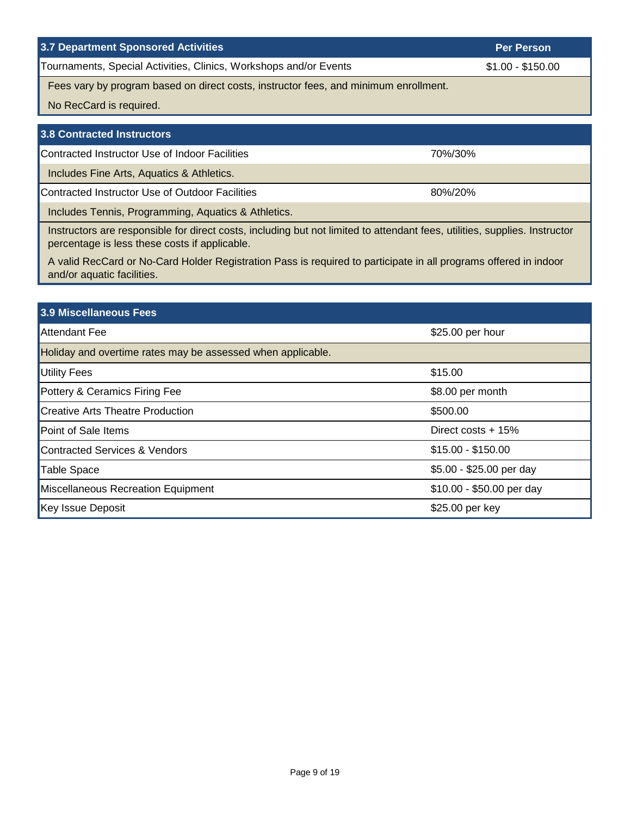### <span id="page-8-0"></span>**3.7 Department Sponsored Activities**

Tournaments, Special Activities, Clinics, Workshops and/or Events

Fees vary by program based on direct costs, instructor fees, and minimum enrollment.

No RecCard is required.

| 3.8 Contracted Instructors                                                                                                                                                  |         |
|-----------------------------------------------------------------------------------------------------------------------------------------------------------------------------|---------|
| Contracted Instructor Use of Indoor Facilities                                                                                                                              | 70%/30% |
| Includes Fine Arts, Aquatics & Athletics.                                                                                                                                   |         |
| Contracted Instructor Use of Outdoor Facilities                                                                                                                             | 80%/20% |
| Includes Tennis, Programming, Aquatics & Athletics.                                                                                                                         |         |
| Instructors are responsible for direct costs, including but not limited to attendant fees, utilities, supplies. Instructor<br>percentage is less these costs if applicable. |         |

A valid RecCard or No-Card Holder Registration Pass is required to participate in all programs offered in indoor and/or aquatic facilities.

## **3.9 Miscellaneous Fees**

| <b>Attendant Fee</b>                                        | \$25.00 per hour          |  |
|-------------------------------------------------------------|---------------------------|--|
| Holiday and overtime rates may be assessed when applicable. |                           |  |
| Utility Fees                                                | \$15.00                   |  |
| Pottery & Ceramics Firing Fee                               | \$8.00 per month          |  |
| Creative Arts Theatre Production                            | \$500.00                  |  |
| Point of Sale Items                                         | Direct costs $+15%$       |  |
| Contracted Services & Vendors                               | $$15.00 - $150.00$        |  |
| Table Space                                                 | \$5.00 - \$25.00 per day  |  |
| Miscellaneous Recreation Equipment                          | \$10.00 - \$50.00 per day |  |
| Key Issue Deposit                                           | \$25.00 per key           |  |

**Per Person**

\$1.00 - \$150.00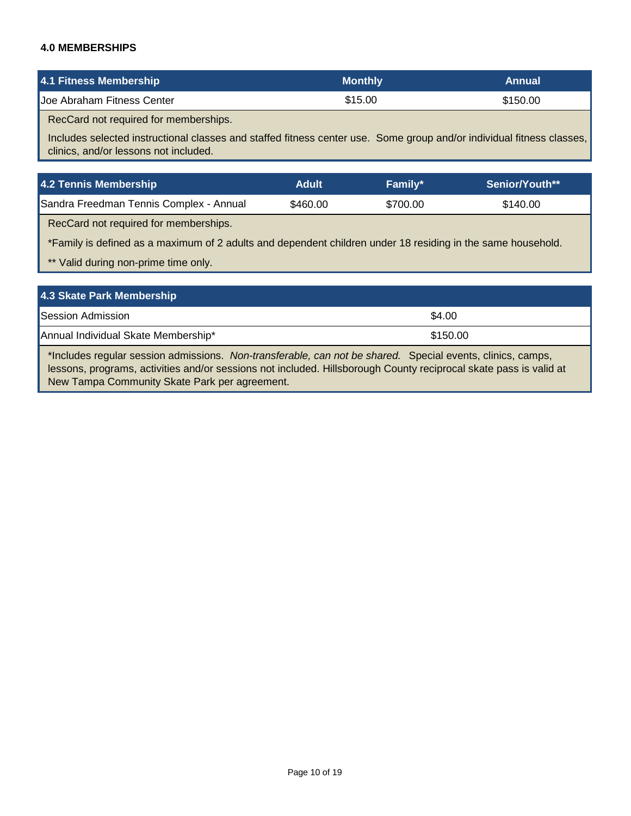### <span id="page-9-0"></span>**4.0 MEMBERSHIPS**

| 4.1 Fitness Membership     | Monthly \ | Annual   |
|----------------------------|-----------|----------|
| Joe Abraham Fitness Center | \$15.00   | \$150.00 |

RecCard not required for memberships.

Includes selected instructional classes and staffed fitness center use. Some group and/or individual fitness classes, clinics, and/or lessons not included.

| 4.2 Tennis Membership                   | Adult    | <b>Family*</b> | <b>Senior/Youth**</b> |
|-----------------------------------------|----------|----------------|-----------------------|
| Sandra Freedman Tennis Complex - Annual | \$460.00 | \$700.00       | \$140.00              |

RecCard not required for memberships.

\*Family is defined as a maximum of 2 adults and dependent children under 18 residing in the same household.

\*\* Valid during non-prime time only.

| 4.3 Skate Park Membership           |          |
|-------------------------------------|----------|
| <b>Session Admission</b>            | \$4.00   |
| Annual Individual Skate Membership* | \$150.00 |

\*Includes regular session admissions. *Non-transferable, can not be shared.* Special events, clinics, camps, lessons, programs, activities and/or sessions not included. Hillsborough County reciprocal skate pass is valid at New Tampa Community Skate Park per agreement.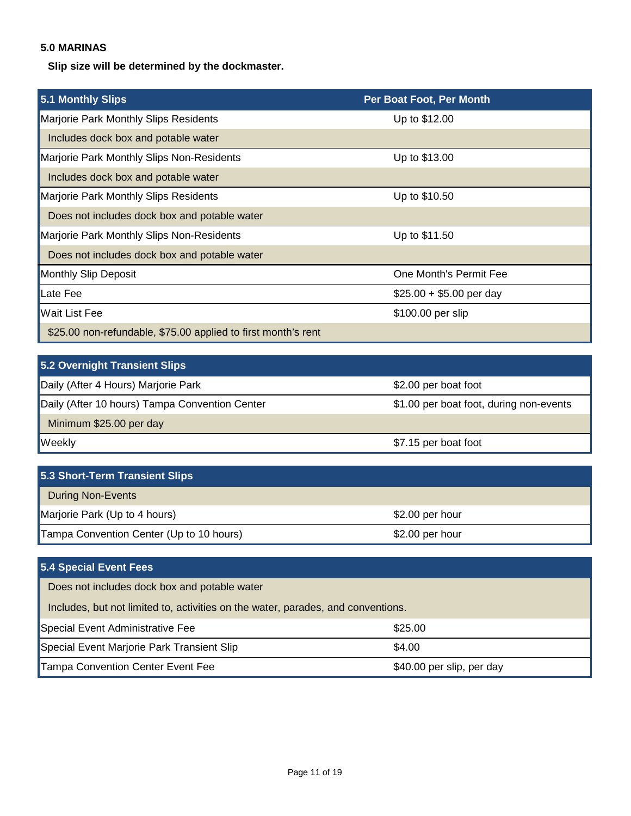## <span id="page-10-0"></span>**5.0 MARINAS**

**Slip size will be determined by the dockmaster.**

| 5.1 Monthly Slips                                             | Per Boat Foot, Per Month |
|---------------------------------------------------------------|--------------------------|
| Marjorie Park Monthly Slips Residents                         | Up to \$12.00            |
| Includes dock box and potable water                           |                          |
| Marjorie Park Monthly Slips Non-Residents                     | Up to \$13.00            |
| Includes dock box and potable water                           |                          |
| Marjorie Park Monthly Slips Residents                         | Up to \$10.50            |
| Does not includes dock box and potable water                  |                          |
| Marjorie Park Monthly Slips Non-Residents                     | Up to \$11.50            |
| Does not includes dock box and potable water                  |                          |
| <b>Monthly Slip Deposit</b>                                   | One Month's Permit Fee   |
| Late Fee                                                      | $$25.00 + $5.00$ per day |
| <b>Wait List Fee</b>                                          | \$100.00 per slip        |
| \$25.00 non-refundable, \$75.00 applied to first month's rent |                          |

| 5.2 Overnight Transient Slips                  |                                         |
|------------------------------------------------|-----------------------------------------|
| Daily (After 4 Hours) Marjorie Park            | \$2.00 per boat foot                    |
| Daily (After 10 hours) Tampa Convention Center | \$1.00 per boat foot, during non-events |
| Minimum \$25.00 per day                        |                                         |
| <b>Weekly</b>                                  | \$7.15 per boat foot                    |

| 5.3 Short-Term Transient Slips           |                 |
|------------------------------------------|-----------------|
| <b>During Non-Events</b>                 |                 |
| Marjorie Park (Up to 4 hours)            | \$2.00 per hour |
| Tampa Convention Center (Up to 10 hours) | \$2.00 per hour |

| 5.4 Special Event Fees                                                           |                           |
|----------------------------------------------------------------------------------|---------------------------|
| Does not includes dock box and potable water                                     |                           |
| Includes, but not limited to, activities on the water, parades, and conventions. |                           |
| Special Event Administrative Fee                                                 | \$25.00                   |
| Special Event Marjorie Park Transient Slip                                       | \$4.00                    |
| <b>Tampa Convention Center Event Fee</b>                                         | \$40.00 per slip, per day |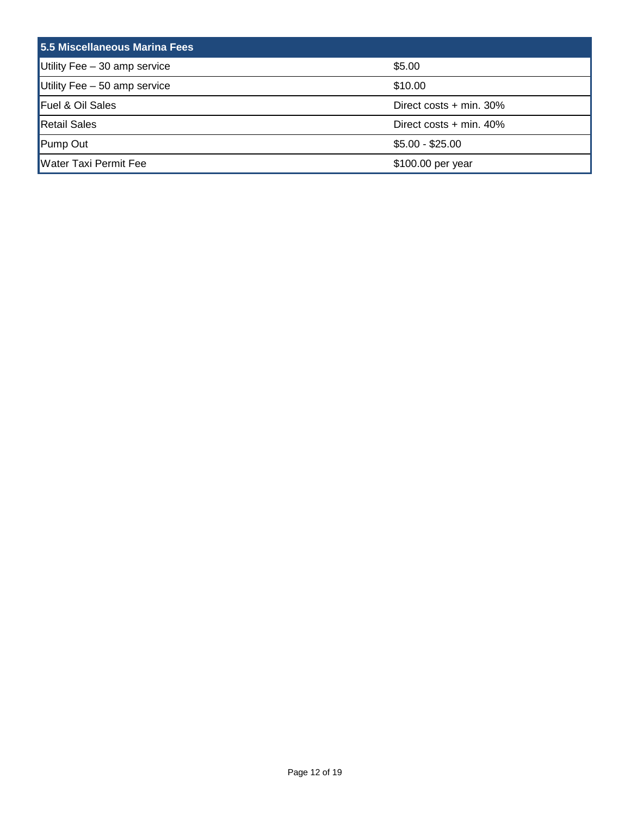<span id="page-11-0"></span>

| 5.5 Miscellaneous Marina Fees |                           |
|-------------------------------|---------------------------|
| Utility Fee $-30$ amp service | \$5.00                    |
| Utility Fee $-50$ amp service | \$10.00                   |
| Fuel & Oil Sales              | Direct costs $+$ min. 30% |
| <b>Retail Sales</b>           | Direct costs $+$ min. 40% |
| Pump Out                      | $$5.00 - $25.00$          |
| <b>Water Taxi Permit Fee</b>  | \$100.00 per year         |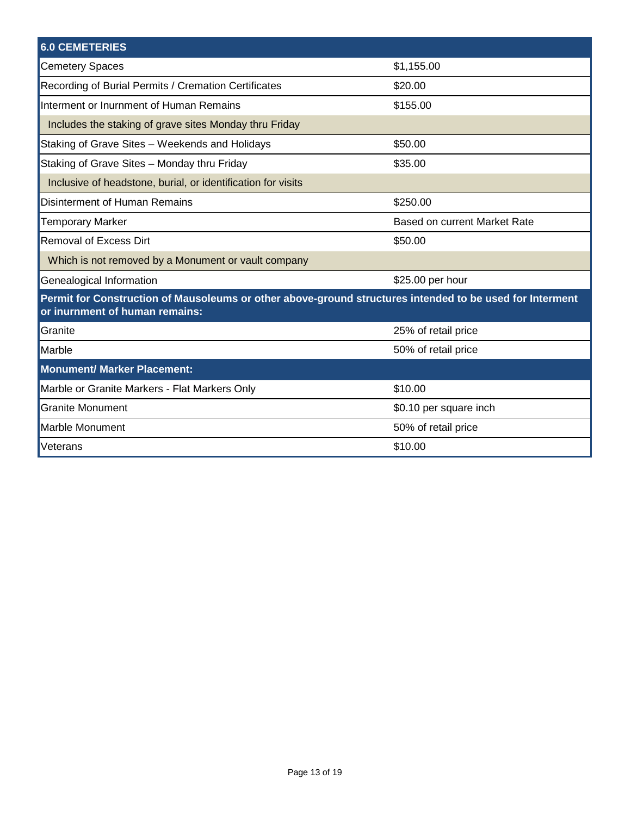<span id="page-12-0"></span>

| <b>6.0 CEMETERIES</b>                                                                                                                      |                              |
|--------------------------------------------------------------------------------------------------------------------------------------------|------------------------------|
| <b>Cemetery Spaces</b>                                                                                                                     | \$1,155.00                   |
| Recording of Burial Permits / Cremation Certificates                                                                                       | \$20.00                      |
| Interment or Inurnment of Human Remains                                                                                                    | \$155.00                     |
| Includes the staking of grave sites Monday thru Friday                                                                                     |                              |
| Staking of Grave Sites - Weekends and Holidays                                                                                             | \$50.00                      |
| Staking of Grave Sites - Monday thru Friday                                                                                                | \$35.00                      |
| Inclusive of headstone, burial, or identification for visits                                                                               |                              |
| Disinterment of Human Remains                                                                                                              | \$250.00                     |
| <b>Temporary Marker</b>                                                                                                                    | Based on current Market Rate |
| <b>Removal of Excess Dirt</b>                                                                                                              | \$50.00                      |
| Which is not removed by a Monument or vault company                                                                                        |                              |
| Genealogical Information                                                                                                                   | \$25.00 per hour             |
| Permit for Construction of Mausoleums or other above-ground structures intended to be used for Interment<br>or inurnment of human remains: |                              |
| <b>Granite</b>                                                                                                                             | 25% of retail price          |
| Marble                                                                                                                                     | 50% of retail price          |
| <b>Monument/ Marker Placement:</b>                                                                                                         |                              |
| Marble or Granite Markers - Flat Markers Only                                                                                              | \$10.00                      |
| <b>Granite Monument</b>                                                                                                                    | \$0.10 per square inch       |
| <b>Marble Monument</b>                                                                                                                     | 50% of retail price          |
| Veterans                                                                                                                                   | \$10.00                      |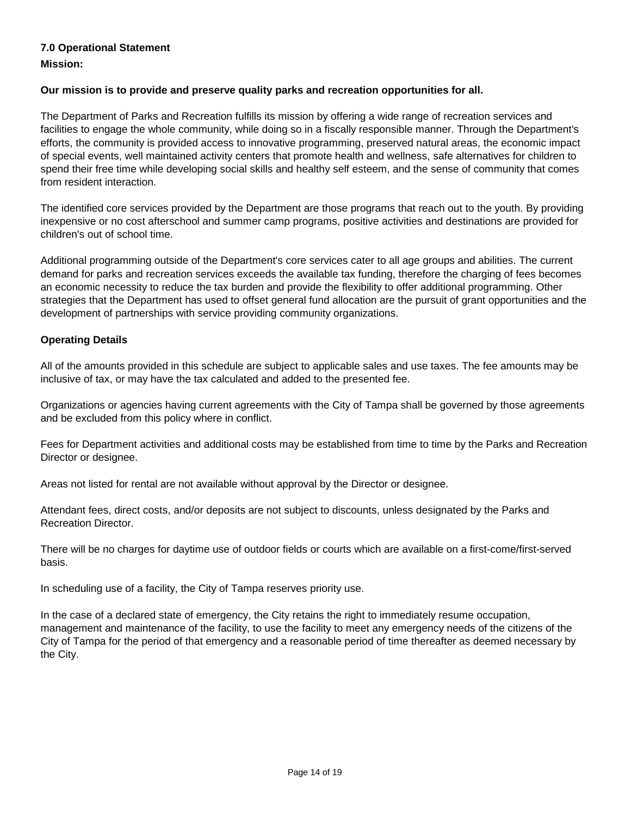## <span id="page-13-0"></span>**7.0 Operational Statement**

**Mission:** 

### **Our mission is to provide and preserve quality parks and recreation opportunities for all.**

The Department of Parks and Recreation fulfills its mission by offering a wide range of recreation services and facilities to engage the whole community, while doing so in a fiscally responsible manner. Through the Department's efforts, the community is provided access to innovative programming, preserved natural areas, the economic impact of special events, well maintained activity centers that promote health and wellness, safe alternatives for children to spend their free time while developing social skills and healthy self esteem, and the sense of community that comes from resident interaction.

The identified core services provided by the Department are those programs that reach out to the youth. By providing inexpensive or no cost afterschool and summer camp programs, positive activities and destinations are provided for children's out of school time.

Additional programming outside of the Department's core services cater to all age groups and abilities. The current demand for parks and recreation services exceeds the available tax funding, therefore the charging of fees becomes an economic necessity to reduce the tax burden and provide the flexibility to offer additional programming. Other strategies that the Department has used to offset general fund allocation are the pursuit of grant opportunities and the development of partnerships with service providing community organizations.

### **Operating Details**

All of the amounts provided in this schedule are subject to applicable sales and use taxes. The fee amounts may be inclusive of tax, or may have the tax calculated and added to the presented fee.

Organizations or agencies having current agreements with the City of Tampa shall be governed by those agreements and be excluded from this policy where in conflict.

Fees for Department activities and additional costs may be established from time to time by the Parks and Recreation Director or designee.

Areas not listed for rental are not available without approval by the Director or designee.

Attendant fees, direct costs, and/or deposits are not subject to discounts, unless designated by the Parks and Recreation Director.

There will be no charges for daytime use of outdoor fields or courts which are available on a first-come/first-served basis.

In scheduling use of a facility, the City of Tampa reserves priority use.

In the case of a declared state of emergency, the City retains the right to immediately resume occupation, management and maintenance of the facility, to use the facility to meet any emergency needs of the citizens of the City of Tampa for the period of that emergency and a reasonable period of time thereafter as deemed necessary by the City.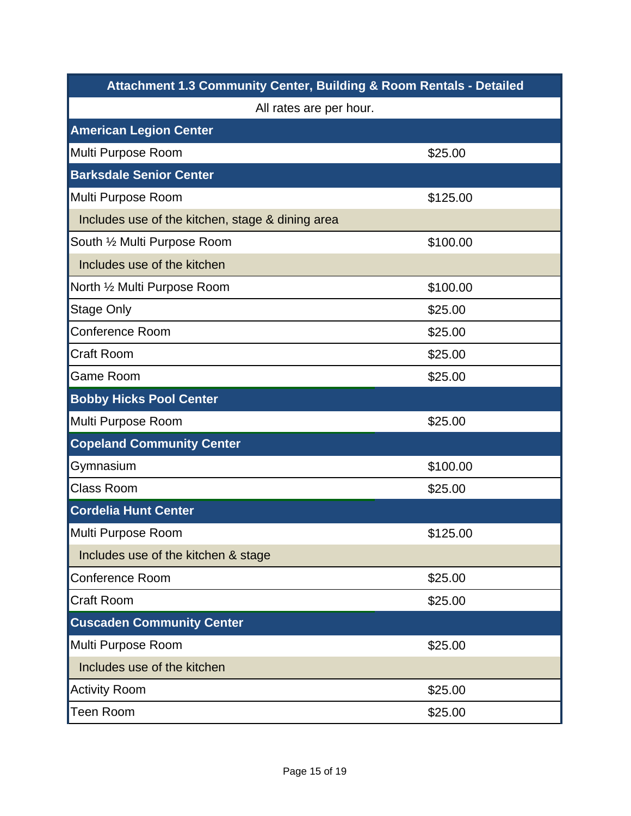<span id="page-14-0"></span>

| <b>Attachment 1.3 Community Center, Building &amp; Room Rentals - Detailed</b> |          |  |
|--------------------------------------------------------------------------------|----------|--|
| All rates are per hour.                                                        |          |  |
| <b>American Legion Center</b>                                                  |          |  |
| Multi Purpose Room                                                             | \$25.00  |  |
| <b>Barksdale Senior Center</b>                                                 |          |  |
| Multi Purpose Room                                                             | \$125.00 |  |
| Includes use of the kitchen, stage & dining area                               |          |  |
| South 1/2 Multi Purpose Room                                                   | \$100.00 |  |
| Includes use of the kitchen                                                    |          |  |
| North 1/2 Multi Purpose Room                                                   | \$100.00 |  |
| <b>Stage Only</b>                                                              | \$25.00  |  |
| <b>Conference Room</b>                                                         | \$25.00  |  |
| <b>Craft Room</b>                                                              | \$25.00  |  |
| <b>Game Room</b>                                                               | \$25.00  |  |
| <b>Bobby Hicks Pool Center</b>                                                 |          |  |
| Multi Purpose Room                                                             | \$25.00  |  |
| <b>Copeland Community Center</b>                                               |          |  |
| Gymnasium                                                                      | \$100.00 |  |
| <b>Class Room</b>                                                              | \$25.00  |  |
| <b>Cordelia Hunt Center</b>                                                    |          |  |
| Multi Purpose Room                                                             | \$125.00 |  |
| Includes use of the kitchen & stage                                            |          |  |
| Conference Room                                                                | \$25.00  |  |
| <b>Craft Room</b>                                                              | \$25.00  |  |
| <b>Cuscaden Community Center</b>                                               |          |  |
| Multi Purpose Room                                                             | \$25.00  |  |
| Includes use of the kitchen                                                    |          |  |
| <b>Activity Room</b>                                                           | \$25.00  |  |
| <b>Teen Room</b>                                                               | \$25.00  |  |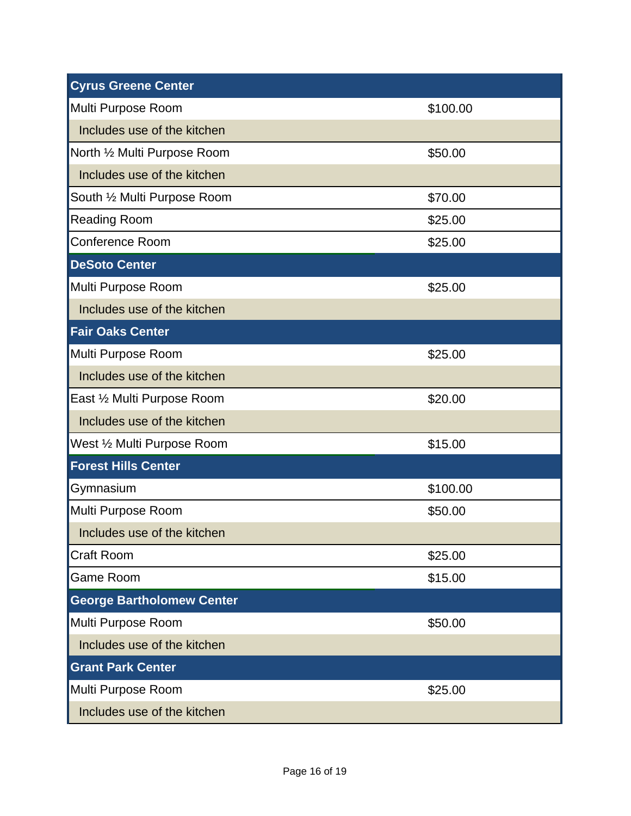| <b>Cyrus Greene Center</b>       |          |
|----------------------------------|----------|
| Multi Purpose Room               | \$100.00 |
| Includes use of the kitchen      |          |
| North 1/2 Multi Purpose Room     | \$50.00  |
| Includes use of the kitchen      |          |
| South 1/2 Multi Purpose Room     | \$70.00  |
| <b>Reading Room</b>              | \$25.00  |
| Conference Room                  | \$25.00  |
| <b>DeSoto Center</b>             |          |
| Multi Purpose Room               | \$25.00  |
| Includes use of the kitchen      |          |
| <b>Fair Oaks Center</b>          |          |
| Multi Purpose Room               | \$25.00  |
| Includes use of the kitchen      |          |
| East 1/2 Multi Purpose Room      | \$20.00  |
| Includes use of the kitchen      |          |
| West 1/2 Multi Purpose Room      | \$15.00  |
| <b>Forest Hills Center</b>       |          |
| Gymnasium                        | \$100.00 |
| Multi Purpose Room               | \$50.00  |
| Includes use of the kitchen      |          |
| <b>Craft Room</b>                | \$25.00  |
| <b>Game Room</b>                 | \$15.00  |
| <b>George Bartholomew Center</b> |          |
| Multi Purpose Room               | \$50.00  |
| Includes use of the kitchen      |          |
| <b>Grant Park Center</b>         |          |
| Multi Purpose Room               | \$25.00  |
| Includes use of the kitchen      |          |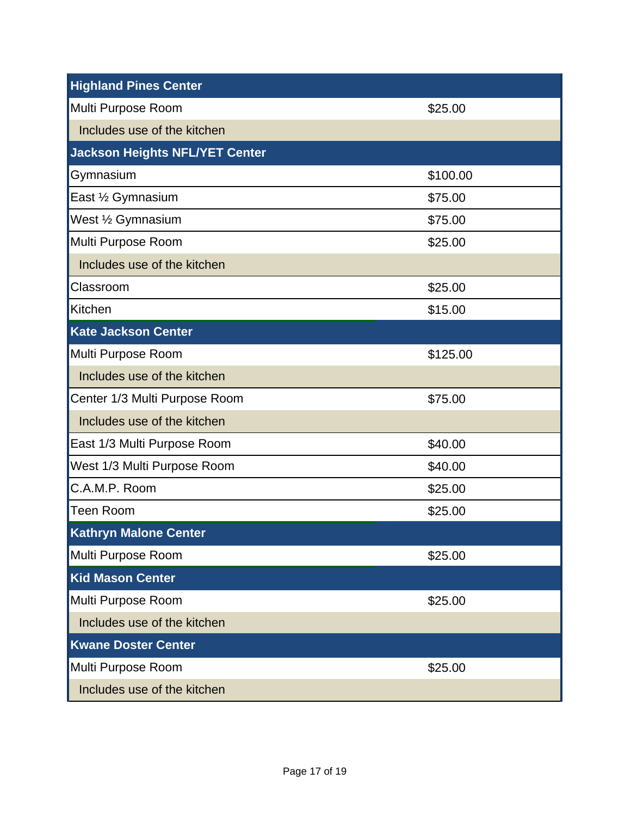| <b>Highland Pines Center</b>          |          |
|---------------------------------------|----------|
| Multi Purpose Room                    | \$25.00  |
| Includes use of the kitchen           |          |
| <b>Jackson Heights NFL/YET Center</b> |          |
| Gymnasium                             | \$100.00 |
| East 1/2 Gymnasium                    | \$75.00  |
| West 1/2 Gymnasium                    | \$75.00  |
| Multi Purpose Room                    | \$25.00  |
| Includes use of the kitchen           |          |
| Classroom                             | \$25.00  |
| Kitchen                               | \$15.00  |
| <b>Kate Jackson Center</b>            |          |
| Multi Purpose Room                    | \$125.00 |
| Includes use of the kitchen           |          |
| Center 1/3 Multi Purpose Room         | \$75.00  |
| Includes use of the kitchen           |          |
| East 1/3 Multi Purpose Room           | \$40.00  |
| West 1/3 Multi Purpose Room           | \$40.00  |
| C.A.M.P. Room                         | \$25.00  |
| <b>Teen Room</b>                      | \$25.00  |
| <b>Kathryn Malone Center</b>          |          |
| Multi Purpose Room                    | \$25.00  |
| <b>Kid Mason Center</b>               |          |
| Multi Purpose Room                    | \$25.00  |
| Includes use of the kitchen           |          |
| <b>Kwane Doster Center</b>            |          |
| Multi Purpose Room                    | \$25.00  |
| Includes use of the kitchen           |          |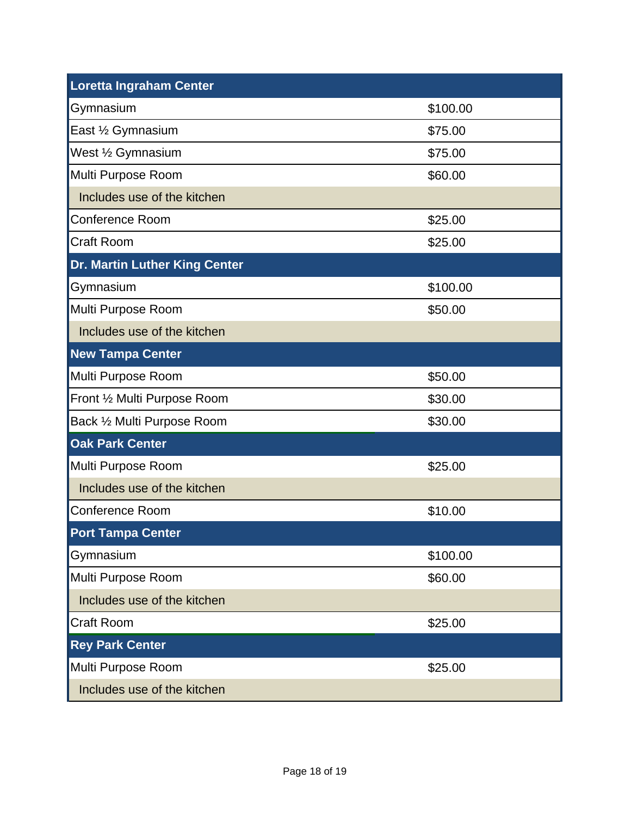| <b>Loretta Ingraham Center</b> |          |
|--------------------------------|----------|
| Gymnasium                      | \$100.00 |
| East 1/2 Gymnasium             | \$75.00  |
| West 1/2 Gymnasium             | \$75.00  |
| Multi Purpose Room             | \$60.00  |
| Includes use of the kitchen    |          |
| <b>Conference Room</b>         | \$25.00  |
| <b>Craft Room</b>              | \$25.00  |
| Dr. Martin Luther King Center  |          |
| Gymnasium                      | \$100.00 |
| Multi Purpose Room             | \$50.00  |
| Includes use of the kitchen    |          |
| <b>New Tampa Center</b>        |          |
| Multi Purpose Room             | \$50.00  |
| Front 1/2 Multi Purpose Room   | \$30.00  |
| Back 1/2 Multi Purpose Room    | \$30.00  |
| <b>Oak Park Center</b>         |          |
| Multi Purpose Room             | \$25.00  |
| Includes use of the kitchen    |          |
| Conference Room                | \$10.00  |
| <b>Port Tampa Center</b>       |          |
| Gymnasium                      | \$100.00 |
| Multi Purpose Room             | \$60.00  |
| Includes use of the kitchen    |          |
| <b>Craft Room</b>              | \$25.00  |
| <b>Rey Park Center</b>         |          |
| Multi Purpose Room             | \$25.00  |
| Includes use of the kitchen    |          |